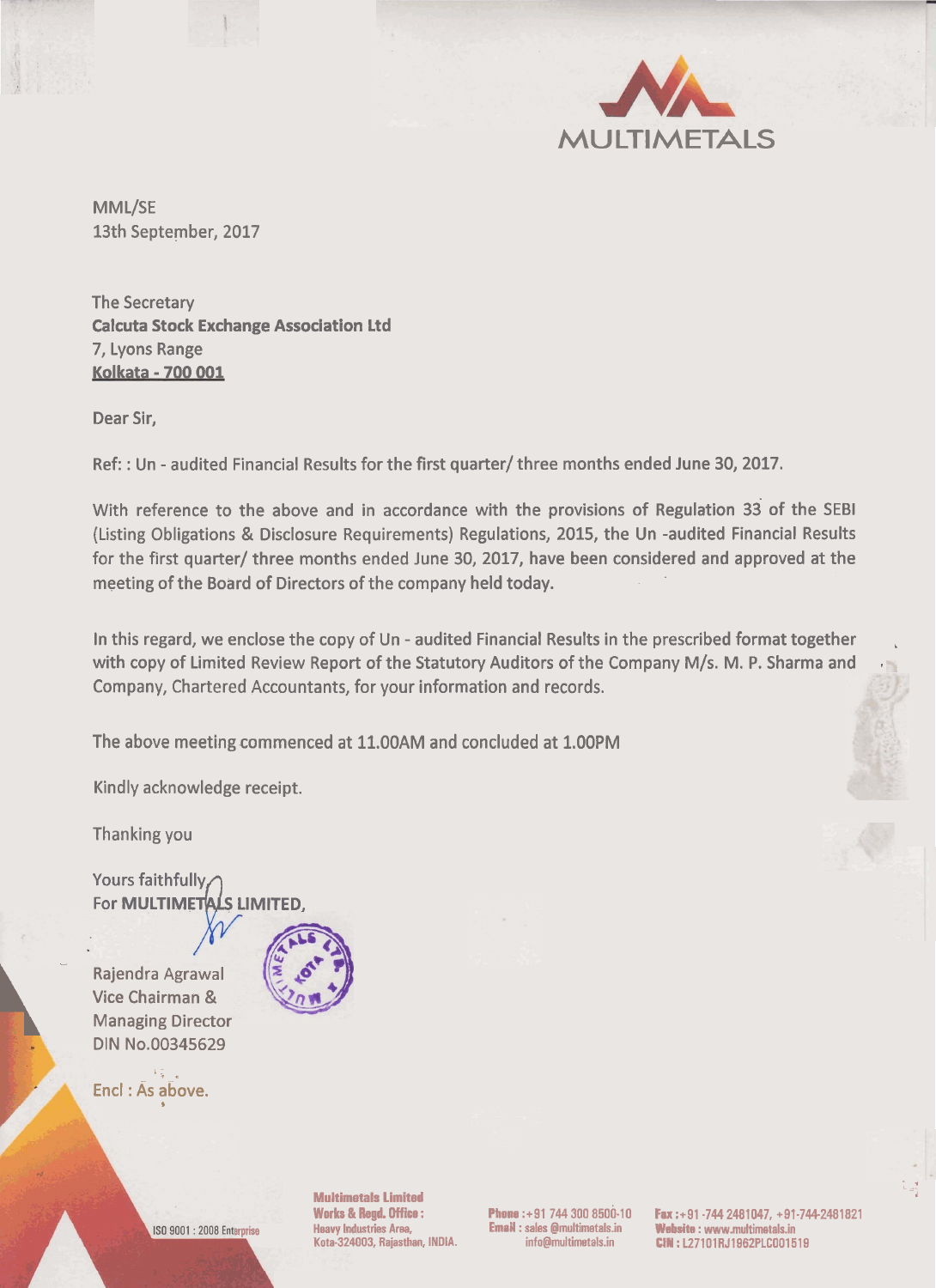

MML/SE 13th September, 2017

The Secretary Calcuta Stock Exchange Association Ltd 7, Lyons Range Kolkata - 700 001

Dear Sir,

Ref: : Un - audited Financial Results for the first quarter/ three months ended June 30,2017.

With reference to the above and in accordance with the provisions of Regulation 33 of the SEBl (Listing Obligations & Disclosure Requirements) Regulations, 2015, the Un -audited Financial Results for the first quarter/ three months ended June 30, 2017, have been considered and approved at the meeting of the Board of Directors of the company held today.

In this regard, we enclose the copy of Un - audited Financial Results in the prescribed format together with copy of Limited Review Report of the Statutory Auditors of the Company M/s. M. P. Sharma and Company, Chartered Accountants, for your information and records.

The above meeting commenced at 11.00AM and concluded at 1.00PM

Kindly acknowledge receipt.

Thanking you

Yours faithfully For MULTIMETALS LIMITED,

Rajendra Agrawal Vice Chairman & Managing Director DIN No.00345629

4



Encl : As above. . -. - - . -



**Multimgtals Limited** - **<sup>d</sup>**

**arpriie Heavy Lndustries Area, Email** : **sales @rnultimetals.in W~I** : **www.multimetals.in** 

**Works** & **bgd. Office** : **Phone :+91 744 300 8500-10 Fax :+91 -744 2481047, +91-7442481821 Kota-324003, Rajasthan, INDIA. info@multimetals.in CIN** : **L27101RJ1962PLG001519** 



 $\frac{1}{\log 2}$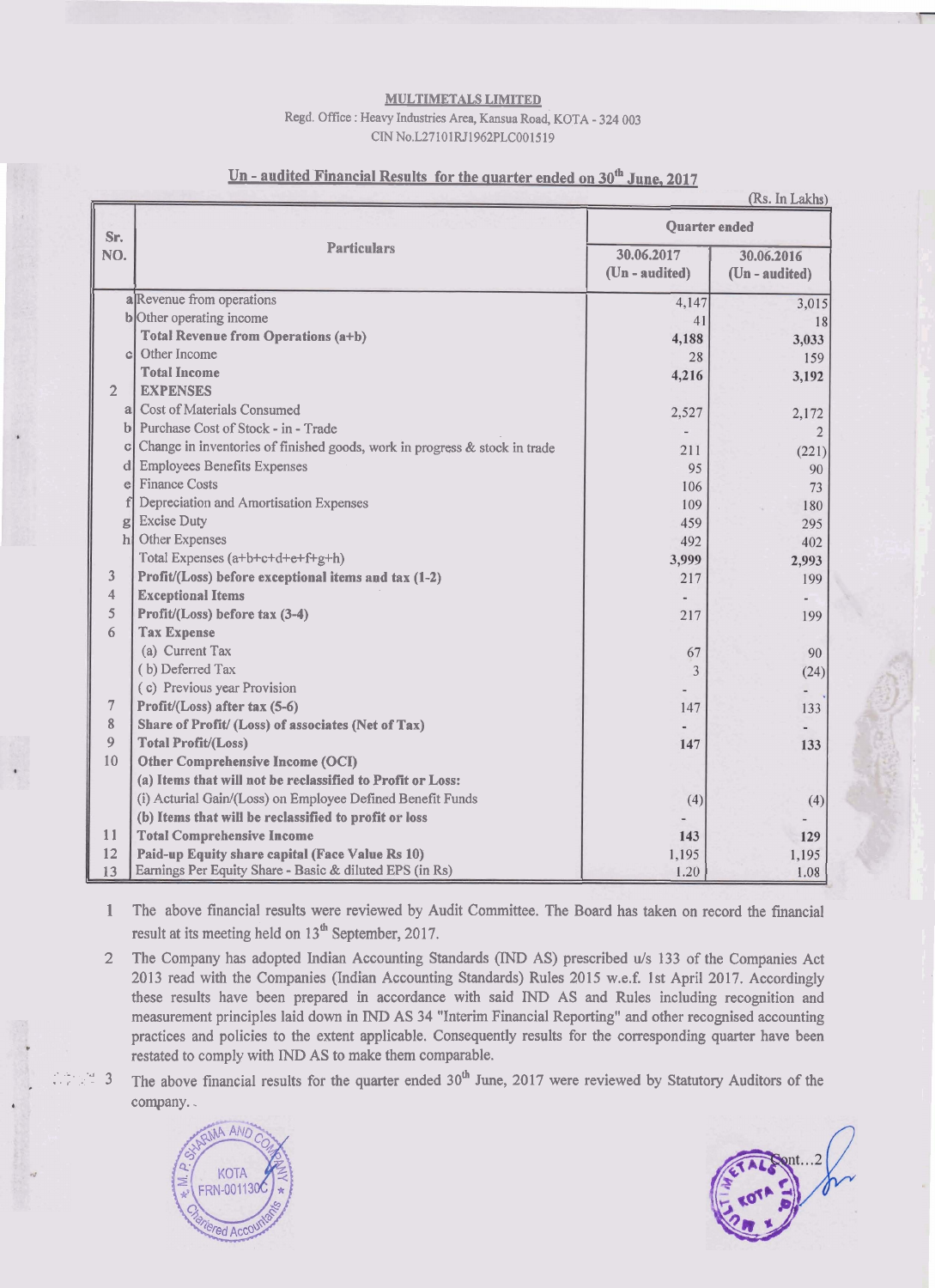## **MULTIMETALS** LIMITED

## Regd. Office : Heavy Industries Area, Kansua Road, KOTA - 324 003 CIN No.L27101RJ1962PLC001519

|                | (Rs. In Lakhs)                                                             |                              |                              |  |
|----------------|----------------------------------------------------------------------------|------------------------------|------------------------------|--|
| Sr.            | <b>Particulars</b>                                                         | <b>Quarter</b> ended         |                              |  |
| NO.            |                                                                            | 30.06.2017<br>(Un - audited) | 30.06.2016<br>(Un - audited) |  |
|                | a Revenue from operations                                                  | 4,147                        | 3,015                        |  |
|                | b Other operating income                                                   | 41                           | 18                           |  |
|                | <b>Total Revenue from Operations (a+b)</b>                                 | 4,188                        | 3,033                        |  |
| $\mathcal{C}$  | Other Income                                                               | 28                           | 159                          |  |
|                | <b>Total Income</b>                                                        | 4,216                        | 3,192                        |  |
| $\overline{2}$ | <b>EXPENSES</b>                                                            |                              |                              |  |
| al             | <b>Cost of Materials Consumed</b>                                          | 2,527                        | 2,172                        |  |
|                | b Purchase Cost of Stock - in - Trade                                      |                              | $\overline{2}$               |  |
| C              | Change in inventories of finished goods, work in progress & stock in trade | 211                          | (221)                        |  |
| d              | <b>Employees Benefits Expenses</b>                                         | 95                           | 90                           |  |
| $\epsilon$     | <b>Finance Costs</b>                                                       | 106                          | 73                           |  |
|                | Depreciation and Amortisation Expenses                                     | 109                          | 180                          |  |
| g              | <b>Excise Duty</b>                                                         | 459                          | 295                          |  |
| $\ln$          | Other Expenses                                                             | 492                          | 402                          |  |
|                | Total Expenses (a+b+c+d+e+f+g+h)                                           | 3,999                        | 2,993                        |  |
| 3              | Profit/(Loss) before exceptional items and tax (1-2)                       | 217                          | 199                          |  |
| 4              | <b>Exceptional Items</b>                                                   |                              |                              |  |
| 5              | Profit/(Loss) before tax (3-4)                                             | 217                          | 199                          |  |
| 6              | <b>Tax Expense</b>                                                         |                              |                              |  |
|                | (a) Current Tax                                                            | 67                           | 90                           |  |
|                | (b) Deferred Tax                                                           | 3                            | (24)                         |  |
|                | (c) Previous year Provision                                                |                              |                              |  |
| 7              | Profit/(Loss) after tax (5-6)                                              | 147                          | 133                          |  |
| 8              | Share of Profit/ (Loss) of associates (Net of Tax)                         |                              |                              |  |
| $\overline{9}$ | <b>Total Profit/(Loss)</b>                                                 | 147                          | 133                          |  |
| 10             | Other Comprehensive Income (OCI)                                           |                              |                              |  |
|                | (a) Items that will not be reclassified to Profit or Loss:                 |                              |                              |  |
|                | (i) Acturial Gain/(Loss) on Employee Defined Benefit Funds                 | (4)                          | (4)                          |  |
|                | (b) Items that will be reclassified to profit or loss                      |                              |                              |  |
| 11             | <b>Total Comprehensive Income</b>                                          | 143                          | 129                          |  |
| 12             | Paid-up Equity share capital (Face Value Rs 10)                            | 1,195                        | 1,195                        |  |
| 13             | Earnings Per Equity Share - Basic & diluted EPS (in Rs)                    | 1.20                         | 1.08                         |  |

## Un - audited Financial Results for the quarter ended on 30<sup>th</sup> June, 2017

1 The above financial results were reviewed by Audit Committee. The Board has taken on record the financial result at its meeting held on 13<sup>th</sup> September, 2017.

- 2 The Company has adopted Indian Accounting Standards (IND AS) prescribed u/s 133 of the Companies Act 2013 read with the Companies (Indian Accounting Standards) Rules 2015 w.e.f. 1st April 2017. Accordingly these results have been prepared in accordance with said IND AS and Rules including recognition and measurement principles laid down in IND AS 34 "Interim Financial Reporting" and other recognised accounting practices and policies to the extent applicable. Consequently results for the corresponding quarter have been restated to comply with TND AS to make them comparable.
- <sup>3</sup> The above financial results for the quarter ended  $30<sup>th</sup>$  June, 2017 were reviewed by Statutory Auditors of the company..



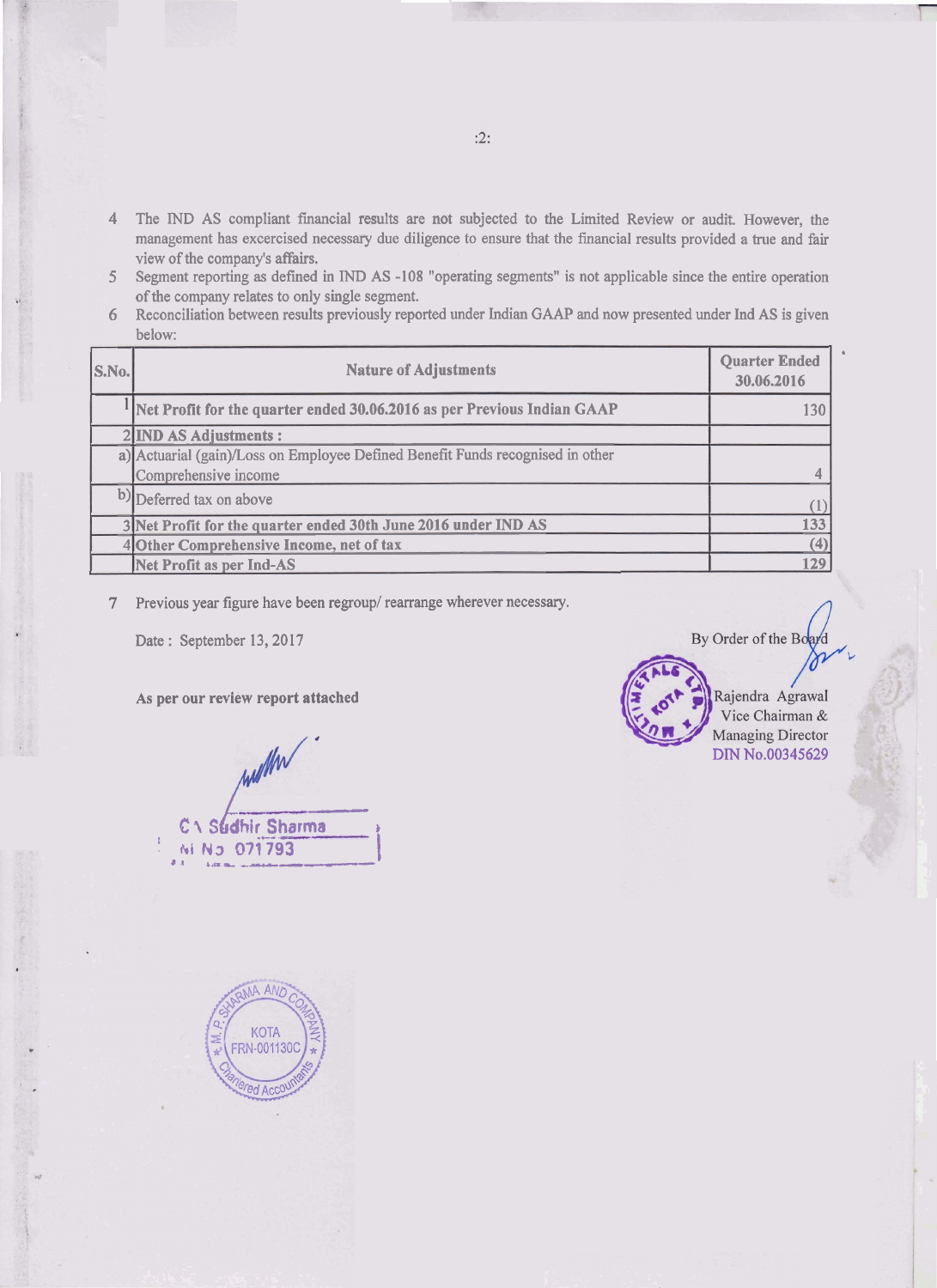- **4** The IND AS compliant financial results are not subjected to the Limited Review or audit. However, the management has excercised necessary due diligence to ensure that the financial results provided a true and fair view of the company's affairs.
- **<sup>5</sup>**Segment reporting as defmed in IND AS -108 "operating segments" is not applicable since the entire operation of the company relates to only single segment.
- 6 Reconciliation between results previously reported under Indian GAAP and now presented under Ind AS is given below:

| S.No. | <b>Nature of Adjustments</b>                                                   | <b>Quarter Ended</b><br>30.06.2016 |  |
|-------|--------------------------------------------------------------------------------|------------------------------------|--|
|       | Net Profit for the quarter ended 30.06.2016 as per Previous Indian GAAP        | 130                                |  |
|       | 2 IND AS Adjustments :                                                         |                                    |  |
|       | a) Actuarial (gain)/Loss on Employee Defined Benefit Funds recognised in other |                                    |  |
|       | Comprehensive income                                                           |                                    |  |
|       | b) Deferred tax on above                                                       |                                    |  |
|       | 3 Net Profit for the quarter ended 30th June 2016 under IND AS                 | 133                                |  |
|       | 4 Other Comprehensive Income, net of tax                                       | (4)                                |  |
|       | Net Profit as per Ind-AS                                                       | 129                                |  |

7 Previous year figure have been regroup/ rearrange wherever necessary.

Date: September 13, 2017

As per our review report attached

mber 13, 2017<br>
eview report attached<br>
www.community.community.com<br>
www.community.community.com<br>
www.community.community.com<br>
www.community.community.com<br>
www.community.community.community.community.community.community.comm **b: 1 S dhir Sharma**   $Ni$  N3 071793





 $:2:$